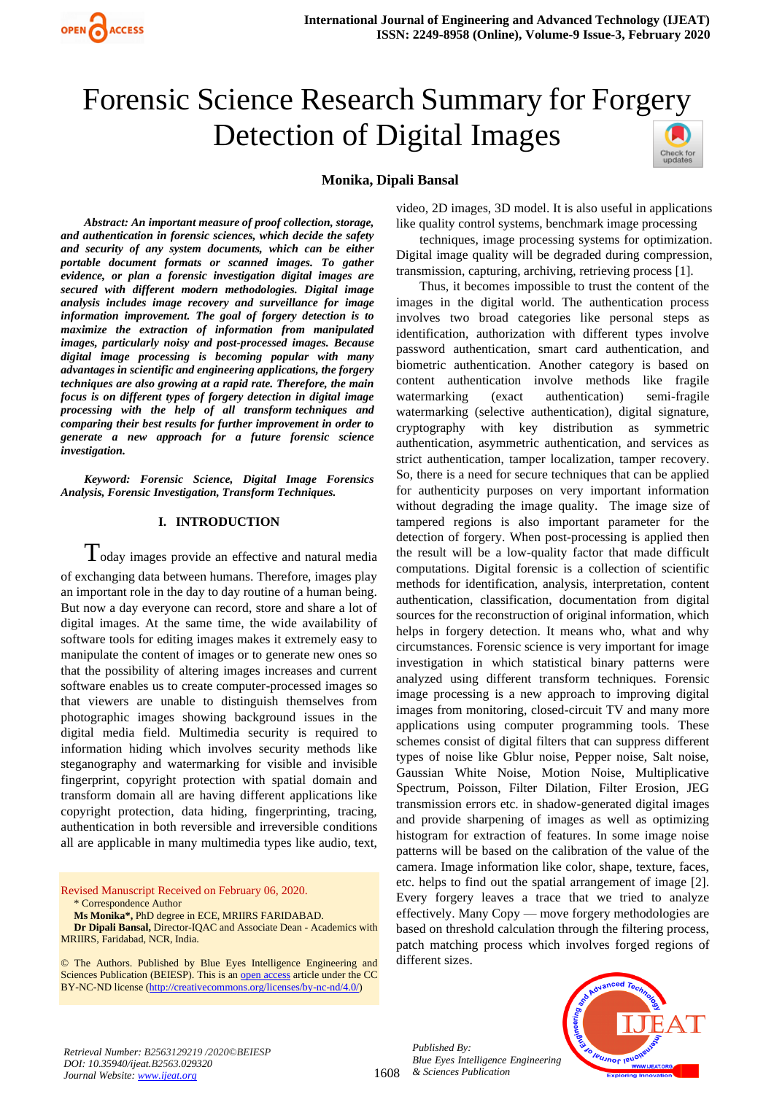

# Forensic Science Research Summary for Forgery Detection of Digital Images

## **Monika, Dipali Bansal**

*Abstract: An important measure of proof collection, storage, and authentication in forensic sciences, which decide the safety and security of any system documents, which can be either portable document formats or scanned images. To gather evidence, or plan a forensic investigation digital images are secured with different modern methodologies. Digital image analysis includes image recovery and surveillance for image information improvement. The goal of forgery detection is to maximize the extraction of information from manipulated images, particularly noisy and post-processed images. Because digital image processing is becoming popular with many advantages in scientific and engineering applications, the forgery techniques are also growing at a rapid rate. Therefore, the main focus is on different types of forgery detection in digital image processing with the help of all transform techniques and comparing their best results for further improvement in order to generate a new approach for a future forensic science investigation.*

*Keyword: Forensic Science, Digital Image Forensics Analysis, Forensic Investigation, Transform Techniques.*

#### **I. INTRODUCTION**

 $T$ oday images provide an effective and natural media of exchanging data between humans. Therefore, images play an important role in the day to day routine of a human being. But now a day everyone can record, store and share a lot of digital images. At the same time, the wide availability of software tools for editing images makes it extremely easy to manipulate the content of images or to generate new ones so that the possibility of altering images increases and current software enables us to create computer-processed images so that viewers are unable to distinguish themselves from photographic images showing background issues in the digital media field. Multimedia security is required to information hiding which involves security methods like steganography and watermarking for visible and invisible fingerprint, copyright protection with spatial domain and transform domain all are having different applications like copyright protection, data hiding, fingerprinting, tracing, authentication in both reversible and irreversible conditions all are applicable in many multimedia types like audio, text,

Revised Manuscript Received on February 06, 2020. \* Correspondence Author

**Ms Monika\*,** PhD degree in ECE, MRIIRS FARIDABAD.

**Dr Dipali Bansal,** Director-IQAC and Associate Dean - Academics with MRIIRS, Faridabad, NCR, India.

© The Authors. Published by Blue Eyes Intelligence Engineering and Sciences Publication (BEIESP). This is a[n open access](https://www.openaccess.nl/en/open-publications) article under the CC BY-NC-ND license [\(http://creativecommons.org/licenses/by-nc-nd/4.0/\)](http://creativecommons.org/licenses/by-nc-nd/4.0/)

video, 2D images, 3D model. It is also useful in applications like quality control systems, benchmark image processing

techniques, image processing systems for optimization. Digital image quality will be degraded during compression, transmission, capturing, archiving, retrieving process [1].

Thus, it becomes impossible to trust the content of the images in the digital world. The authentication process involves two broad categories like personal steps as identification, authorization with different types involve password authentication, smart card authentication, and biometric authentication. Another category is based on content authentication involve methods like fragile watermarking (exact authentication) semi-fragile watermarking (selective authentication), digital signature, cryptography with key distribution as symmetric authentication, asymmetric authentication, and services as strict authentication, tamper localization, tamper recovery. So, there is a need for secure techniques that can be applied for authenticity purposes on very important information without degrading the image quality. The image size of tampered regions is also important parameter for the detection of forgery. When post-processing is applied then the result will be a low-quality factor that made difficult computations. Digital forensic is a collection of scientific methods for identification, analysis, interpretation, content authentication, classification, documentation from digital sources for the reconstruction of original information, which helps in forgery detection. It means who, what and why circumstances. Forensic science is very important for image investigation in which statistical binary patterns were analyzed using different transform techniques. Forensic image processing is a new approach to improving digital images from monitoring, closed-circuit TV and many more applications using computer programming tools. These schemes consist of digital filters that can suppress different types of noise like Gblur noise, Pepper noise, Salt noise, Gaussian White Noise, Motion Noise, Multiplicative Spectrum, Poisson, Filter Dilation, Filter Erosion, JEG transmission errors etc. in shadow-generated digital images and provide sharpening of images as well as optimizing histogram for extraction of features. In some image noise patterns will be based on the calibration of the value of the camera. Image information like color, shape, texture, faces, etc. helps to find out the spatial arrangement of image [2]. Every forgery leaves a trace that we tried to analyze effectively. Many Copy — move forgery methodologies are based on threshold calculation through the filtering process, patch matching process which involves forged regions of different sizes.



*Retrieval Number: B2563129219 /2020©BEIESP DOI: 10.35940/ijeat.B2563.029320 Journal Website[: www.ijeat.org](http://www.ijeat.org/)*

1608 *& Sciences Publication Published By: Blue Eyes Intelligence Engineering*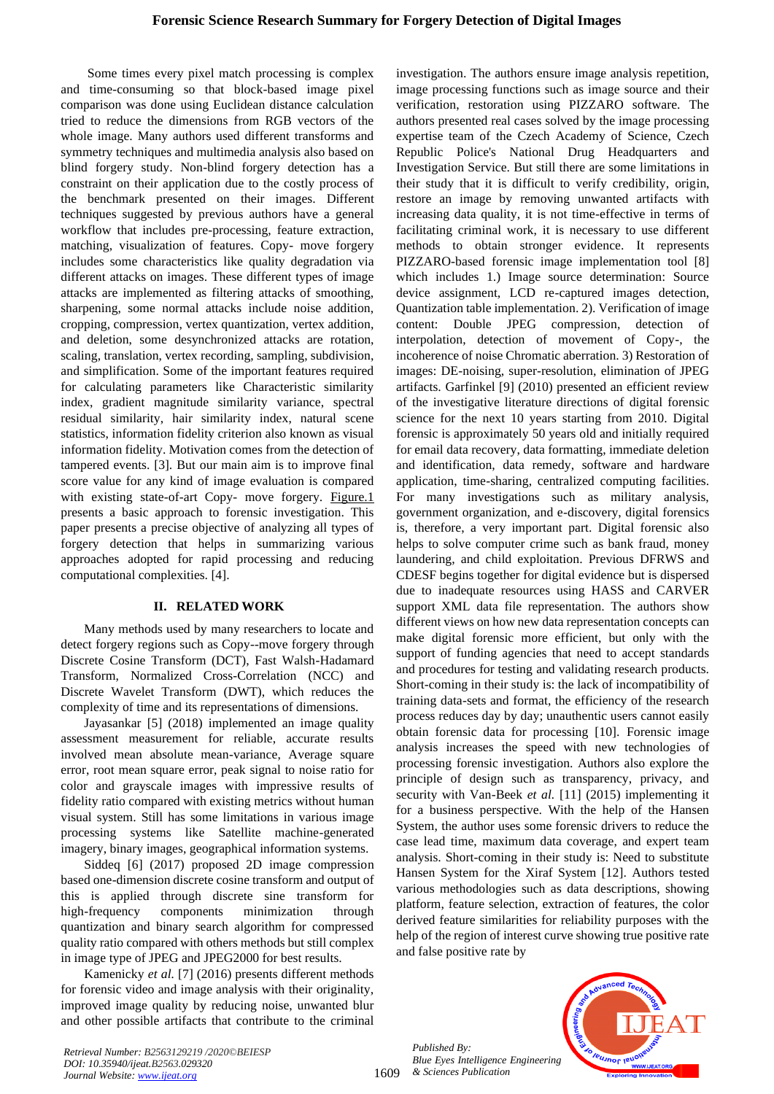Some times every pixel match processing is complex and time-consuming so that block-based image pixel comparison was done using Euclidean distance calculation tried to reduce the dimensions from RGB vectors of the whole image. Many authors used different transforms and symmetry techniques and multimedia analysis also based on blind forgery study. Non-blind forgery detection has a constraint on their application due to the costly process of the benchmark presented on their images. Different techniques suggested by previous authors have a general workflow that includes pre-processing, feature extraction, matching, visualization of features. Copy- move forgery includes some characteristics like quality degradation via different attacks on images. These different types of image attacks are implemented as filtering attacks of smoothing, sharpening, some normal attacks include noise addition, cropping, compression, vertex quantization, vertex addition, and deletion, some desynchronized attacks are rotation, scaling, translation, vertex recording, sampling, subdivision, and simplification. Some of the important features required for calculating parameters like Characteristic similarity index, gradient magnitude similarity variance, spectral residual similarity, hair similarity index, natural scene statistics, information fidelity criterion also known as visual information fidelity. Motivation comes from the detection of tampered events. [3]. But our main aim is to improve final score value for any kind of image evaluation is compared with existing state-of-art Copy- move forgery. [Figure.1](#page-7-0) presents a basic approach to forensic investigation. This paper presents a precise objective of analyzing all types of forgery detection that helps in summarizing various approaches adopted for rapid processing and reducing computational complexities. [4].

## **II. RELATED WORK**

Many methods used by many researchers to locate and detect forgery regions such as Copy--move forgery through Discrete Cosine Transform (DCT), Fast Walsh-Hadamard Transform, Normalized Cross-Correlation (NCC) and Discrete Wavelet Transform (DWT), which reduces the complexity of time and its representations of dimensions.

Jayasankar [5] (2018) implemented an image quality assessment measurement for reliable, accurate results involved mean absolute mean-variance, Average square error, root mean square error, peak signal to noise ratio for color and grayscale images with impressive results of fidelity ratio compared with existing metrics without human visual system. Still has some limitations in various image processing systems like Satellite machine-generated imagery, binary images, geographical information systems.

Siddeq [6] (2017) proposed 2D image compression based one-dimension discrete cosine transform and output of this is applied through discrete sine transform for high-frequency components minimization through quantization and binary search algorithm for compressed quality ratio compared with others methods but still complex in image type of JPEG and JPEG2000 for best results.

Kamenicky *et al.* [7] (2016) presents different methods for forensic video and image analysis with their originality, improved image quality by reducing noise, unwanted blur and other possible artifacts that contribute to the criminal investigation. The authors ensure image analysis repetition, image processing functions such as image source and their verification, restoration using PIZZARO software. The authors presented real cases solved by the image processing expertise team of the Czech Academy of Science, Czech Republic Police's National Drug Headquarters and Investigation Service. But still there are some limitations in their study that it is difficult to verify credibility, origin, restore an image by removing unwanted artifacts with increasing data quality, it is not time-effective in terms of facilitating criminal work, it is necessary to use different methods to obtain stronger evidence. It represents PIZZARO-based forensic image implementation tool [8] which includes 1.) Image source determination: Source device assignment, LCD re-captured images detection, Quantization table implementation. 2). Verification of image content: Double JPEG compression, detection of interpolation, detection of movement of Copy-, the incoherence of noise Chromatic aberration. 3) Restoration of images: DE-noising, super-resolution, elimination of JPEG artifacts. Garfinkel [9] (2010) presented an efficient review of the investigative literature directions of digital forensic science for the next 10 years starting from 2010. Digital forensic is approximately 50 years old and initially required for email data recovery, data formatting, immediate deletion and identification, data remedy, software and hardware application, time-sharing, centralized computing facilities. For many investigations such as military analysis, government organization, and e-discovery, digital forensics is, therefore, a very important part. Digital forensic also helps to solve computer crime such as bank fraud, money laundering, and child exploitation. Previous DFRWS and CDESF begins together for digital evidence but is dispersed due to inadequate resources using HASS and CARVER support XML data file representation. The authors show different views on how new data representation concepts can make digital forensic more efficient, but only with the support of funding agencies that need to accept standards and procedures for testing and validating research products. Short-coming in their study is: the lack of incompatibility of training data-sets and format, the efficiency of the research process reduces day by day; unauthentic users cannot easily obtain forensic data for processing [10]. Forensic image analysis increases the speed with new technologies of processing forensic investigation. Authors also explore the principle of design such as transparency, privacy, and security with Van-Beek *et al.* [11] (2015) implementing it for a business perspective. With the help of the Hansen System, the author uses some forensic drivers to reduce the case lead time, maximum data coverage, and expert team analysis. Short-coming in their study is: Need to substitute Hansen System for the Xiraf System [12]. Authors tested various methodologies such as data descriptions, showing platform, feature selection, extraction of features, the color derived feature similarities for reliability purposes with the help of the region of interest curve showing true positive rate and false positive rate by

1609 *Published By: Blue Eyes Intelligence Engineering & Sciences Publication* 

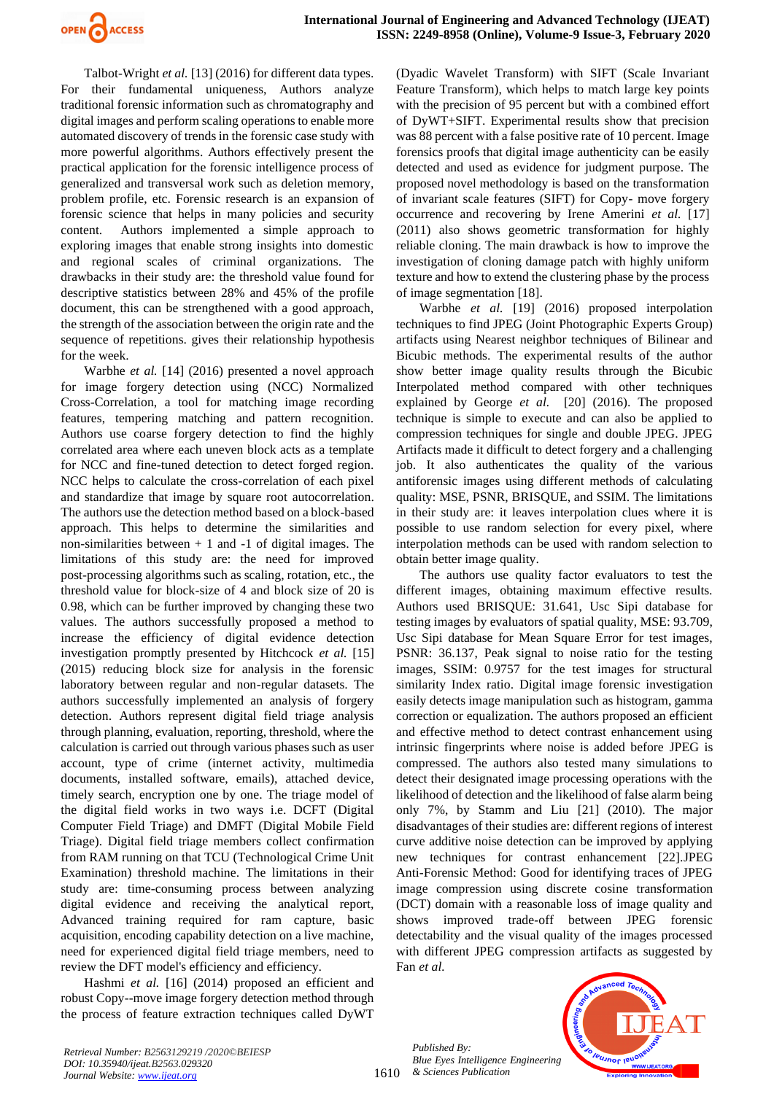

Talbot-Wright *et al.* [13] (2016) for different data types. For their fundamental uniqueness, Authors analyze traditional forensic information such as chromatography and digital images and perform scaling operations to enable more automated discovery of trends in the forensic case study with more powerful algorithms. Authors effectively present the practical application for the forensic intelligence process of generalized and transversal work such as deletion memory, problem profile, etc. Forensic research is an expansion of forensic science that helps in many policies and security content. Authors implemented a simple approach to exploring images that enable strong insights into domestic and regional scales of criminal organizations. The drawbacks in their study are: the threshold value found for descriptive statistics between 28% and 45% of the profile document, this can be strengthened with a good approach, the strength of the association between the origin rate and the sequence of repetitions. gives their relationship hypothesis for the week.

Warbhe *et al.* [14] (2016) presented a novel approach for image forgery detection using (NCC) Normalized Cross-Correlation, a tool for matching image recording features, tempering matching and pattern recognition. Authors use coarse forgery detection to find the highly correlated area where each uneven block acts as a template for NCC and fine-tuned detection to detect forged region. NCC helps to calculate the cross-correlation of each pixel and standardize that image by square root autocorrelation. The authors use the detection method based on a block-based approach. This helps to determine the similarities and non-similarities between  $+ 1$  and  $-1$  of digital images. The limitations of this study are: the need for improved post-processing algorithms such as scaling, rotation, etc., the threshold value for block-size of 4 and block size of 20 is 0.98, which can be further improved by changing these two values. The authors successfully proposed a method to increase the efficiency of digital evidence detection investigation promptly presented by Hitchcock *et al.* [15] (2015) reducing block size for analysis in the forensic laboratory between regular and non-regular datasets. The authors successfully implemented an analysis of forgery detection. Authors represent digital field triage analysis through planning, evaluation, reporting, threshold, where the calculation is carried out through various phases such as user account, type of crime (internet activity, multimedia documents, installed software, emails), attached device, timely search, encryption one by one. The triage model of the digital field works in two ways i.e. DCFT (Digital Computer Field Triage) and DMFT (Digital Mobile Field Triage). Digital field triage members collect confirmation from RAM running on that TCU (Technological Crime Unit Examination) threshold machine. The limitations in their study are: time-consuming process between analyzing digital evidence and receiving the analytical report, Advanced training required for ram capture, basic acquisition, encoding capability detection on a live machine, need for experienced digital field triage members, need to review the DFT model's efficiency and efficiency.

Hashmi *et al.* [16] (2014) proposed an efficient and robust Copy--move image forgery detection method through the process of feature extraction techniques called DyWT

(Dyadic Wavelet Transform) with SIFT (Scale Invariant Feature Transform), which helps to match large key points with the precision of 95 percent but with a combined effort of DyWT+SIFT. Experimental results show that precision was 88 percent with a false positive rate of 10 percent. Image forensics proofs that digital image authenticity can be easily detected and used as evidence for judgment purpose. The proposed novel methodology is based on the transformation of invariant scale features (SIFT) for Copy- move forgery occurrence and recovering by Irene Amerini *et al.* [17] (2011) also shows geometric transformation for highly reliable cloning. The main drawback is how to improve the investigation of cloning damage patch with highly uniform texture and how to extend the clustering phase by the process of image segmentation [18].

Warbhe *et al.* [19] (2016) proposed interpolation techniques to find JPEG (Joint Photographic Experts Group) artifacts using Nearest neighbor techniques of Bilinear and Bicubic methods. The experimental results of the author show better image quality results through the Bicubic Interpolated method compared with other techniques explained by George *et al.* [20] (2016). The proposed technique is simple to execute and can also be applied to compression techniques for single and double JPEG. JPEG Artifacts made it difficult to detect forgery and a challenging job. It also authenticates the quality of the various antiforensic images using different methods of calculating quality: MSE, PSNR, BRISQUE, and SSIM. The limitations in their study are: it leaves interpolation clues where it is possible to use random selection for every pixel, where interpolation methods can be used with random selection to obtain better image quality.

The authors use quality factor evaluators to test the different images, obtaining maximum effective results. Authors used BRISQUE: 31.641, Usc Sipi database for testing images by evaluators of spatial quality, MSE: 93.709, Usc Sipi database for Mean Square Error for test images, PSNR: 36.137, Peak signal to noise ratio for the testing images, SSIM: 0.9757 for the test images for structural similarity Index ratio. Digital image forensic investigation easily detects image manipulation such as histogram, gamma correction or equalization. The authors proposed an efficient and effective method to detect contrast enhancement using intrinsic fingerprints where noise is added before JPEG is compressed. The authors also tested many simulations to detect their designated image processing operations with the likelihood of detection and the likelihood of false alarm being only 7%, by Stamm and Liu [21] (2010). The major disadvantages of their studies are: different regions of interest curve additive noise detection can be improved by applying new techniques for contrast enhancement [22].JPEG Anti-Forensic Method: Good for identifying traces of JPEG image compression using discrete cosine transformation (DCT) domain with a reasonable loss of image quality and shows improved trade-off between JPEG forensic detectability and the visual quality of the images processed with different JPEG compression artifacts as suggested by Fan *et al.*

1610 *& Sciences Publication Published By: Blue Eyes Intelligence Engineering* 

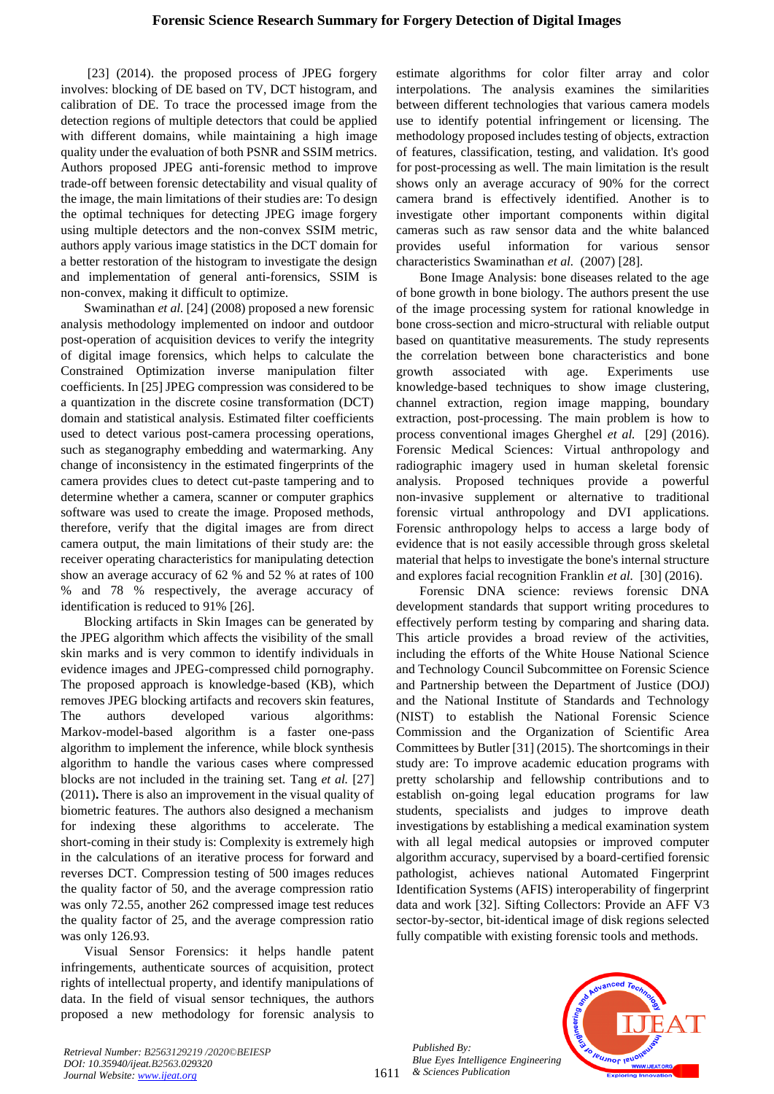[23] (2014). the proposed process of JPEG forgery involves: blocking of DE based on TV, DCT histogram, and calibration of DE. To trace the processed image from the detection regions of multiple detectors that could be applied with different domains, while maintaining a high image quality under the evaluation of both PSNR and SSIM metrics. Authors proposed JPEG anti-forensic method to improve trade-off between forensic detectability and visual quality of the image, the main limitations of their studies are: To design the optimal techniques for detecting JPEG image forgery using multiple detectors and the non-convex SSIM metric, authors apply various image statistics in the DCT domain for a better restoration of the histogram to investigate the design and implementation of general anti-forensics, SSIM is non-convex, making it difficult to optimize.

Swaminathan *et al.* [24] (2008) proposed a new forensic analysis methodology implemented on indoor and outdoor post-operation of acquisition devices to verify the integrity of digital image forensics, which helps to calculate the Constrained Optimization inverse manipulation filter coefficients. In [25] JPEG compression was considered to be a quantization in the discrete cosine transformation (DCT) domain and statistical analysis. Estimated filter coefficients used to detect various post-camera processing operations, such as steganography embedding and watermarking. Any change of inconsistency in the estimated fingerprints of the camera provides clues to detect cut-paste tampering and to determine whether a camera, scanner or computer graphics software was used to create the image. Proposed methods, therefore, verify that the digital images are from direct camera output, the main limitations of their study are: the receiver operating characteristics for manipulating detection show an average accuracy of 62 % and 52 % at rates of 100 % and 78 % respectively, the average accuracy of identification is reduced to 91% [26].

Blocking artifacts in Skin Images can be generated by the JPEG algorithm which affects the visibility of the small skin marks and is very common to identify individuals in evidence images and JPEG-compressed child pornography. The proposed approach is knowledge-based (KB), which removes JPEG blocking artifacts and recovers skin features, The authors developed various algorithms: Markov-model-based algorithm is a faster one-pass algorithm to implement the inference, while block synthesis algorithm to handle the various cases where compressed blocks are not included in the training set. Tang *et al.* [27] (2011)**.** There is also an improvement in the visual quality of biometric features. The authors also designed a mechanism for indexing these algorithms to accelerate. The short-coming in their study is: Complexity is extremely high in the calculations of an iterative process for forward and reverses DCT. Compression testing of 500 images reduces the quality factor of 50, and the average compression ratio was only 72.55, another 262 compressed image test reduces the quality factor of 25, and the average compression ratio was only 126.93.

Visual Sensor Forensics: it helps handle patent infringements, authenticate sources of acquisition, protect rights of intellectual property, and identify manipulations of data. In the field of visual sensor techniques, the authors proposed a new methodology for forensic analysis to

estimate algorithms for color filter array and color interpolations. The analysis examines the similarities between different technologies that various camera models use to identify potential infringement or licensing. The methodology proposed includes testing of objects, extraction of features, classification, testing, and validation. It's good for post-processing as well. The main limitation is the result shows only an average accuracy of 90% for the correct camera brand is effectively identified. Another is to investigate other important components within digital cameras such as raw sensor data and the white balanced provides useful information for various sensor characteristics Swaminathan *et al.* (2007) [28].

Bone Image Analysis: bone diseases related to the age of bone growth in bone biology. The authors present the use of the image processing system for rational knowledge in bone cross-section and micro-structural with reliable output based on quantitative measurements. The study represents the correlation between bone characteristics and bone growth associated with age. Experiments use knowledge-based techniques to show image clustering, channel extraction, region image mapping, boundary extraction, post-processing. The main problem is how to process conventional images Gherghel *et al.* [29] (2016). Forensic Medical Sciences: Virtual anthropology and radiographic imagery used in human skeletal forensic analysis. Proposed techniques provide a powerful non-invasive supplement or alternative to traditional forensic virtual anthropology and DVI applications. Forensic anthropology helps to access a large body of evidence that is not easily accessible through gross skeletal material that helps to investigate the bone's internal structure and explores facial recognition Franklin *et al.* [30] (2016).

Forensic DNA science: reviews forensic DNA development standards that support writing procedures to effectively perform testing by comparing and sharing data. This article provides a broad review of the activities, including the efforts of the White House National Science and Technology Council Subcommittee on Forensic Science and Partnership between the Department of Justice (DOJ) and the National Institute of Standards and Technology (NIST) to establish the National Forensic Science Commission and the Organization of Scientific Area Committees by Butler [31] (2015). The shortcomings in their study are: To improve academic education programs with pretty scholarship and fellowship contributions and to establish on-going legal education programs for law students, specialists and judges to improve death investigations by establishing a medical examination system with all legal medical autopsies or improved computer algorithm accuracy, supervised by a board-certified forensic pathologist, achieves national Automated Fingerprint Identification Systems (AFIS) interoperability of fingerprint data and work [32]. Sifting Collectors: Provide an AFF V3 sector-by-sector, bit-identical image of disk regions selected fully compatible with existing forensic tools and methods.

*Published By: Blue Eyes Intelligence Engineering & Sciences Publication* 

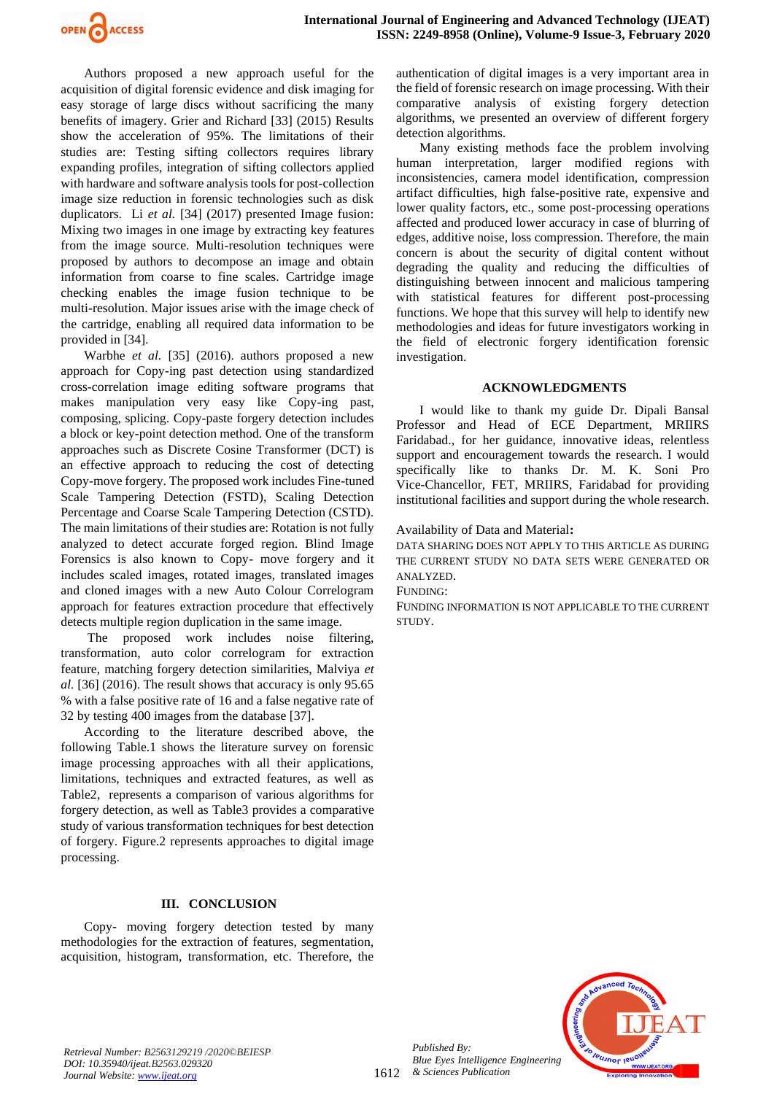

Authors proposed a new approach useful for the acquisition of digital forensic evidence and disk imaging for easy storage of large discs without sacrificing the many benefits of imagery. Grier and Richard [33] (2015) Results show the acceleration of 95%. The limitations of their studies are: Testing sifting collectors requires library expanding profiles, integration of sifting collectors applied with hardware and software analysis tools for post-collection image size reduction in forensic technologies such as disk duplicators. Li *et al.* [34] (2017) presented Image fusion: Mixing two images in one image by extracting key features from the image source. Multi-resolution techniques were proposed by authors to decompose an image and obtain information from coarse to fine scales. Cartridge image checking enables the image fusion technique to be multi-resolution. Major issues arise with the image check of the cartridge, enabling all required data information to be provided in [34].

Warbhe *et al.* [35] (2016). authors proposed a new approach for Copy-ing past detection using standardized cross-correlation image editing software programs that makes manipulation very easy like Copy-ing past, composing, splicing. Copy-paste forgery detection includes a block or key-point detection method. One of the transform approaches such as Discrete Cosine Transformer (DCT) is an effective approach to reducing the cost of detecting Copy-move forgery. The proposed work includes Fine-tuned Scale Tampering Detection (FSTD), Scaling Detection Percentage and Coarse Scale Tampering Detection (CSTD). The main limitations of their studies are: Rotation is not fully analyzed to detect accurate forged region. Blind Image Forensics is also known to Copy- move forgery and it includes scaled images, rotated images, translated images and cloned images with a new Auto Colour Correlogram approach for features extraction procedure that effectively detects multiple region duplication in the same image.

The proposed work includes noise filtering, transformation, auto color correlogram for extraction feature, matching forgery detection similarities, Malviya *et al.* [36] (2016). The result shows that accuracy is only 95.65 % with a false positive rate of 16 and a false negative rate of 32 by testing 400 images from the database [37].

According to the literature described above, the following Table.1 shows the literature survey on forensic image processing approaches with all their applications, limitations, techniques and extracted features, as well as [Table2,](#page-6-0) represents a comparison of various algorithms for forgery detection, as well as [Table3](#page-7-1) provides a comparative study of various transformation techniques for best detection of forgery. [Figure.2](#page-8-0) represents approaches to digital image processing.

#### **III. CONCLUSION**

Copy- moving forgery detection tested by many methodologies for the extraction of features, segmentation, acquisition, histogram, transformation, etc. Therefore, the

authentication of digital images is a very important area in the field of forensic research on image processing. With their comparative analysis of existing forgery detection algorithms, we presented an overview of different forgery detection algorithms.

Many existing methods face the problem involving human interpretation, larger modified regions with inconsistencies, camera model identification, compression artifact difficulties, high false-positive rate, expensive and lower quality factors, etc., some post-processing operations affected and produced lower accuracy in case of blurring of edges, additive noise, loss compression. Therefore, the main concern is about the security of digital content without degrading the quality and reducing the difficulties of distinguishing between innocent and malicious tampering with statistical features for different post-processing functions. We hope that this survey will help to identify new methodologies and ideas for future investigators working in the field of electronic forgery identification forensic investigation.

#### **ACKNOWLEDGMENTS**

I would like to thank my guide Dr. Dipali Bansal Professor and Head of ECE Department, MRIIRS Faridabad., for her guidance, innovative ideas, relentless support and encouragement towards the research. I would specifically like to thanks Dr. M. K. Soni Pro Vice-Chancellor, FET, MRIIRS, Faridabad for providing institutional facilities and support during the whole research.

Availability of Data and Material**:**

DATA SHARING DOES NOT APPLY TO THIS ARTICLE AS DURING THE CURRENT STUDY NO DATA SETS WERE GENERATED OR ANALYZED.

FUNDING:

FUNDING INFORMATION IS NOT APPLICABLE TO THE CURRENT STUDY.



*Retrieval Number: B2563129219 /2020©BEIESP DOI: 10.35940/ijeat.B2563.029320 Journal Website[: www.ijeat.org](http://www.ijeat.org/)*

*Published By:*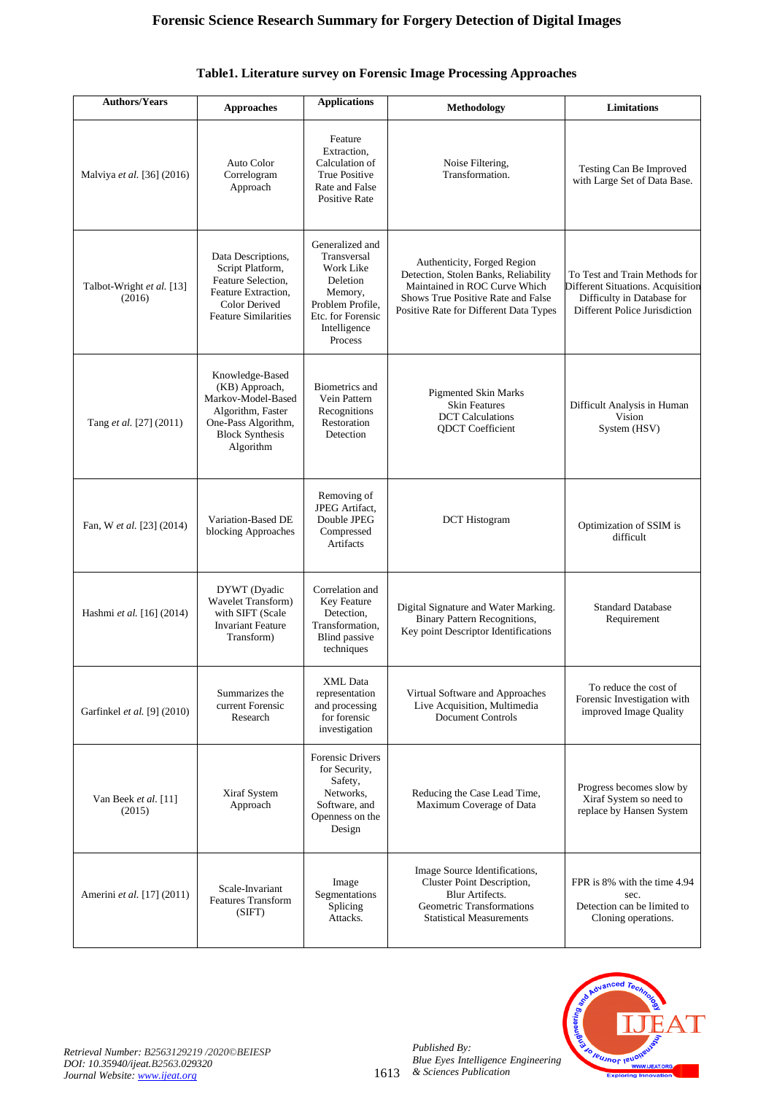| <b>Authors/Years</b>                | <b>Approaches</b>                                                                                                                          | <b>Applications</b>                                                                                                                    | Methodology                                                                                                                                                                          | <b>Limitations</b>                                                                                                                |
|-------------------------------------|--------------------------------------------------------------------------------------------------------------------------------------------|----------------------------------------------------------------------------------------------------------------------------------------|--------------------------------------------------------------------------------------------------------------------------------------------------------------------------------------|-----------------------------------------------------------------------------------------------------------------------------------|
| Malviya et al. [36] (2016)          | Auto Color<br>Correlogram<br>Approach                                                                                                      | Feature<br>Extraction,<br>Calculation of<br><b>True Positive</b><br>Rate and False<br>Positive Rate                                    | Noise Filtering,<br>Transformation.                                                                                                                                                  | Testing Can Be Improved<br>with Large Set of Data Base.                                                                           |
| Talbot-Wright et al. [13]<br>(2016) | Data Descriptions,<br>Script Platform,<br>Feature Selection,<br>Feature Extraction,<br><b>Color Derived</b><br><b>Feature Similarities</b> | Generalized and<br>Transversal<br>Work Like<br>Deletion<br>Memory,<br>Problem Profile,<br>Etc. for Forensic<br>Intelligence<br>Process | Authenticity, Forged Region<br>Detection, Stolen Banks, Reliability<br>Maintained in ROC Curve Which<br>Shows True Positive Rate and False<br>Positive Rate for Different Data Types | To Test and Train Methods for<br>Different Situations. Acquisition<br>Difficulty in Database for<br>Different Police Jurisdiction |
| Tang et al. [27] (2011)             | Knowledge-Based<br>(KB) Approach,<br>Markov-Model-Based<br>Algorithm, Faster<br>One-Pass Algorithm,<br><b>Block Synthesis</b><br>Algorithm | Biometrics and<br>Vein Pattern<br>Recognitions<br>Restoration<br>Detection                                                             | <b>Pigmented Skin Marks</b><br><b>Skin Features</b><br><b>DCT</b> Calculations<br><b>QDCT</b> Coefficient                                                                            | Difficult Analysis in Human<br>Vision<br>System (HSV)                                                                             |
| Fan, W et al. [23] (2014)           | Variation-Based DE<br>blocking Approaches                                                                                                  | Removing of<br>JPEG Artifact,<br>Double JPEG<br>Compressed<br>Artifacts                                                                | <b>DCT</b> Histogram                                                                                                                                                                 | Optimization of SSIM is<br>difficult                                                                                              |
| Hashmi et al. [16] (2014)           | DYWT (Dyadic<br>Wavelet Transform)<br>with SIFT (Scale<br><b>Invariant Feature</b><br>Transform)                                           | Correlation and<br>Key Feature<br>Detection.<br>Transformation,<br><b>Blind</b> passive<br>techniques                                  | Digital Signature and Water Marking.<br><b>Binary Pattern Recognitions,</b><br>Key point Descriptor Identifications                                                                  | <b>Standard Database</b><br>Requirement                                                                                           |
| Garfinkel et al. [9] (2010)         | Summarizes the<br>current Forensic<br>Research                                                                                             | XML Data<br>representation<br>and processing<br>for forensic<br>investigation                                                          | Virtual Software and Approaches<br>Live Acquisition, Multimedia<br><b>Document Controls</b>                                                                                          | To reduce the cost of<br>Forensic Investigation with<br>improved Image Quality                                                    |
| Van Beek et al. [11]<br>(2015)      | Xiraf System<br>Approach                                                                                                                   | <b>Forensic Drivers</b><br>for Security,<br>Safety,<br>Networks,<br>Software, and<br>Openness on the<br>Design                         | Reducing the Case Lead Time,<br>Maximum Coverage of Data                                                                                                                             | Progress becomes slow by<br>Xiraf System so need to<br>replace by Hansen System                                                   |
| Amerini et al. [17] (2011)          | Scale-Invariant<br><b>Features Transform</b><br>(SIFT)                                                                                     | Image<br>Segmentations<br>Splicing<br>Attacks.                                                                                         | Image Source Identifications,<br>Cluster Point Description,<br><b>Blur Artifects.</b><br>Geometric Transformations<br><b>Statistical Measurements</b>                                | FPR is 8% with the time 4.94<br>sec.<br>Detection can be limited to<br>Cloning operations.                                        |

# **Table1. Literature survey on Forensic Image Processing Approaches**

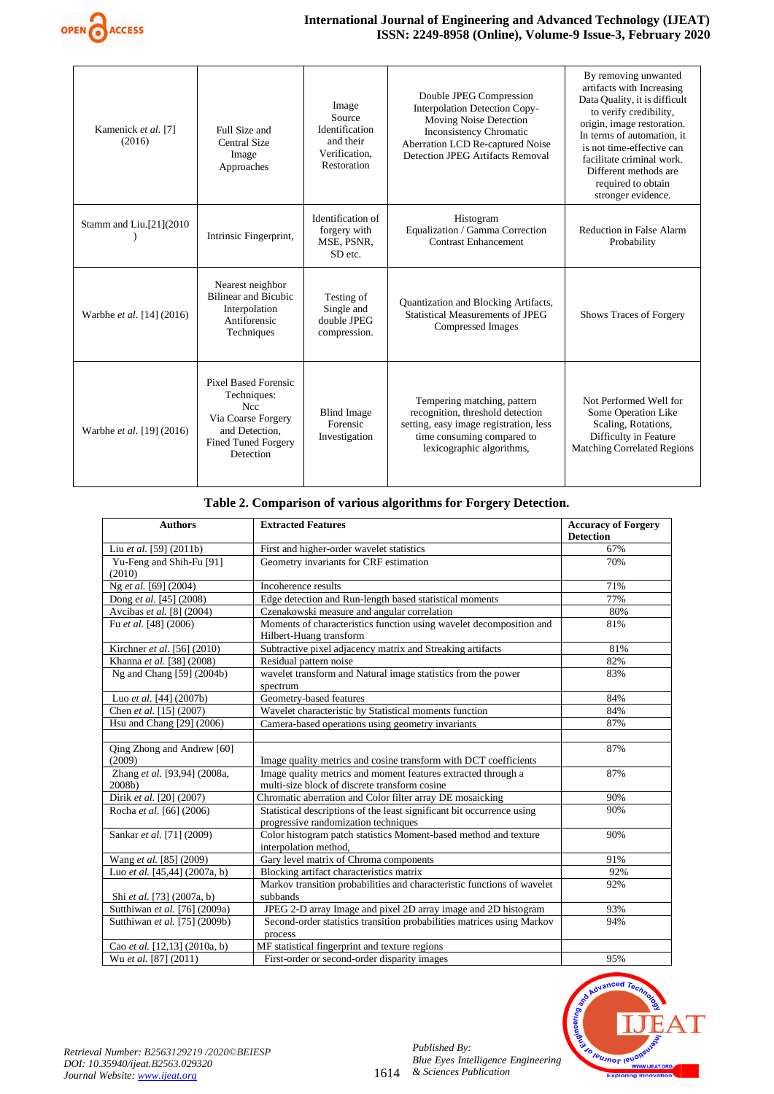

#### **International Journal of Engineering and Advanced Technology (IJEAT) ISSN: 2249-8958 (Online), Volume-9 Issue-3, February 2020**

| Kamenick et al. [7]<br>(2016) | Full Size and<br>Central Size<br>Image<br>Approaches                                                                                        | Image<br>Source<br>Identification<br>and their<br>Verification,<br>Restoration | Double JPEG Compression<br>Interpolation Detection Copy-<br>Moving Noise Detection<br><b>Inconsistency Chromatic</b><br>Aberration LCD Re-captured Noise<br>Detection JPEG Artifacts Removal | By removing unwanted<br>artifacts with Increasing<br>Data Quality, it is difficult<br>to verify credibility,<br>origin, image restoration.<br>In terms of automation, it<br>is not time-effective can<br>facilitate criminal work.<br>Different methods are<br>required to obtain<br>stronger evidence. |
|-------------------------------|---------------------------------------------------------------------------------------------------------------------------------------------|--------------------------------------------------------------------------------|----------------------------------------------------------------------------------------------------------------------------------------------------------------------------------------------|---------------------------------------------------------------------------------------------------------------------------------------------------------------------------------------------------------------------------------------------------------------------------------------------------------|
| Stamm and Liu.[21](2010)      | Intrinsic Fingerprint,                                                                                                                      | Identification of<br>forgery with<br>MSE, PSNR,<br>SD etc.                     | Histogram<br>Equalization / Gamma Correction<br><b>Contrast Enhancement</b>                                                                                                                  | Reduction in False Alarm<br>Probability                                                                                                                                                                                                                                                                 |
| Warbhe et al. [14] (2016)     | Nearest neighbor<br><b>Bilinear and Bicubic</b><br>Interpolation<br>Antiforensic<br>Techniques                                              | Testing of<br>Single and<br>double JPEG<br>compression.                        | Quantization and Blocking Artifacts,<br><b>Statistical Measurements of JPEG</b><br>Compressed Images                                                                                         | Shows Traces of Forgery                                                                                                                                                                                                                                                                                 |
| Warbhe et al. [19] (2016)     | <b>Pixel Based Forensic</b><br>Techniques:<br><b>Ncc</b><br>Via Coarse Forgery<br>and Detection.<br><b>Fined Tuned Forgery</b><br>Detection | <b>Blind Image</b><br>Forensic<br>Investigation                                | Tempering matching, pattern<br>recognition, threshold detection<br>setting, easy image registration, less<br>time consuming compared to<br>lexicographic algorithms,                         | Not Performed Well for<br>Some Operation Like<br>Scaling, Rotations,<br>Difficulty in Feature<br><b>Matching Correlated Regions</b>                                                                                                                                                                     |

# **Table 2. Comparison of various algorithms for Forgery Detection.**

<span id="page-6-0"></span>

| <b>Authors</b>                         | <b>Extracted Features</b>                                                                                      | <b>Accuracy of Forgery</b><br><b>Detection</b> |
|----------------------------------------|----------------------------------------------------------------------------------------------------------------|------------------------------------------------|
| Liu et al. [59] (2011b)                | First and higher-order wavelet statistics                                                                      | 67%                                            |
| Yu-Feng and Shih-Fu [91]<br>(2010)     | Geometry invariants for CRF estimation                                                                         | 70%                                            |
| Ng et al. [69] (2004)                  | Incoherence results                                                                                            | 71%                                            |
| Dong et al. [45] (2008)                | Edge detection and Run-length based statistical moments                                                        | 77%                                            |
| Avcibas et al. [8] (2004)              | Czenakowski measure and angular correlation                                                                    | 80%                                            |
| Fu et al. [48] (2006)                  | Moments of characteristics function using wavelet decomposition and<br>Hilbert-Huang transform                 | 81%                                            |
| Kirchner et al. [56] (2010)            | Subtractive pixel adjacency matrix and Streaking artifacts                                                     | 81%                                            |
| Khanna et al. [38] (2008)              | Residual pattern noise                                                                                         | 82%                                            |
| Ng and Chang [59] (2004b)              | wavelet transform and Natural image statistics from the power<br>spectrum                                      | 83%                                            |
| Luo et al. [44] (2007b)                | Geometry-based features                                                                                        | 84%                                            |
| Chen et al. [15] (2007)                | Wavelet characteristic by Statistical moments function                                                         | 84%                                            |
| Hsu and Chang [29] (2006)              | Camera-based operations using geometry invariants                                                              | 87%                                            |
|                                        |                                                                                                                |                                                |
| Qing Zhong and Andrew [60]<br>(2009)   | Image quality metrics and cosine transform with DCT coefficients                                               | 87%                                            |
| Zhang et al. [93,94] (2008a,<br>2008b) | Image quality metrics and moment features extracted through a<br>multi-size block of discrete transform cosine | 87%                                            |
| Dirik et al. [20] (2007)               | Chromatic aberration and Color filter array DE mosaicking                                                      | 90%                                            |
| Rocha et al. [66] (2006)               | Statistical descriptions of the least significant bit occurrence using<br>progressive randomization techniques | 90%                                            |
| Sankar et al. [71] (2009)              | Color histogram patch statistics Moment-based method and texture<br>interpolation method,                      | 90%                                            |
| Wang et al. [85] (2009)                | Gary level matrix of Chroma components                                                                         | 91%                                            |
| Luo et al. [45,44] (2007a, b)          | Blocking artifact characteristics matrix                                                                       | 92%                                            |
|                                        | Markov transition probabilities and characteristic functions of wavelet                                        | 92%                                            |
| Shi et al. [73] (2007a, b)             | subbands                                                                                                       |                                                |
| Sutthiwan et al. [76] (2009a)          | JPEG 2-D array Image and pixel 2D array image and 2D histogram                                                 | 93%                                            |
| Sutthiwan et al. [75] (2009b)          | Second-order statistics transition probabilities matrices using Markov<br>process                              | 94%                                            |
| Cao et al. [12,13] (2010a, b)          | MF statistical fingerprint and texture regions                                                                 |                                                |
| Wu et al. [87] (2011)                  | First-order or second-order disparity images                                                                   | 95%                                            |

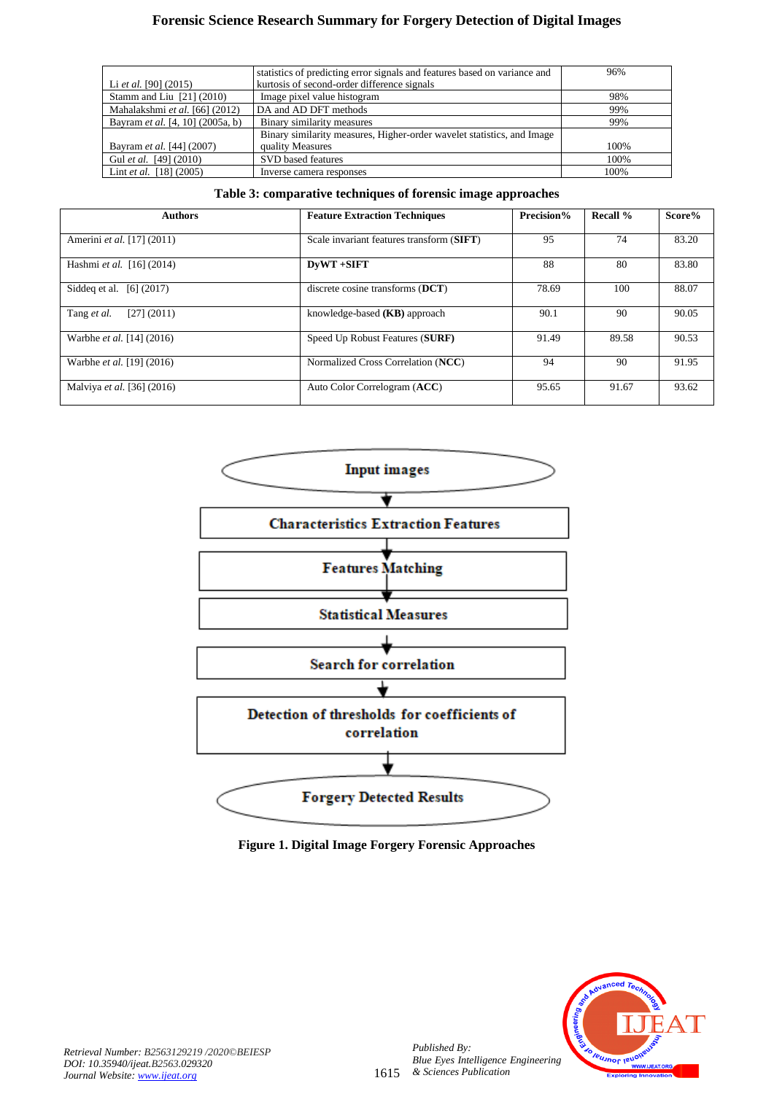# **Forensic Science Research Summary for Forgery Detection of Digital Images**

|                                  | statistics of predicting error signals and features based on variance and | 96%  |
|----------------------------------|---------------------------------------------------------------------------|------|
| Li et al. $[90]$ (2015)          | kurtosis of second-order difference signals                               |      |
| Stamm and Liu $[21]$ (2010)      | Image pixel value histogram                                               | 98%  |
| Mahalakshmi et al. [66] (2012)   | DA and AD DFT methods                                                     | 99%  |
| Bayram et al. [4, 10] (2005a, b) | Binary similarity measures                                                | 99%  |
|                                  | Binary similarity measures, Higher-order wavelet statistics, and Image    |      |
| Bayram et al. [44] (2007)        | quality Measures                                                          | 100% |
| Gul et al. [49] (2010)           | SVD based features                                                        | 100% |
| Lint <i>et al.</i> $[18] (2005)$ | Inverse camera responses                                                  | 100% |

## **Table 3: comparative techniques of forensic image approaches**

<span id="page-7-1"></span>

| <b>Authors</b>                   | <b>Feature Extraction Techniques</b>      |       | Recall $%$ | Score% |
|----------------------------------|-------------------------------------------|-------|------------|--------|
| Amerini et al. [17] (2011)       | Scale invariant features transform (SIFT) | 95    | 74         | 83.20  |
| Hashmi et al. [16] (2014)        | DvWT +SIFT                                | 88    | 80         | 83.80  |
| Siddeg et al. [6] (2017)         | discrete cosine transforms $(DCT)$        | 78.69 | 100        | 88.07  |
| Tang et al.<br>[27] (2011)       | knowledge-based $(KB)$ approach           | 90.1  | 90         | 90.05  |
| Warbhe <i>et al.</i> [14] (2016) | Speed Up Robust Features (SURF)           | 91.49 | 89.58      | 90.53  |
| Warbhe et al. [19] (2016)        | Normalized Cross Correlation (NCC)        | 94    | 90         | 91.95  |
| Malviya et al. [36] (2016)       | Auto Color Correlogram (ACC)              | 95.65 | 91.67      | 93.62  |



<span id="page-7-0"></span>**Figure 1. Digital Image Forgery Forensic Approaches**

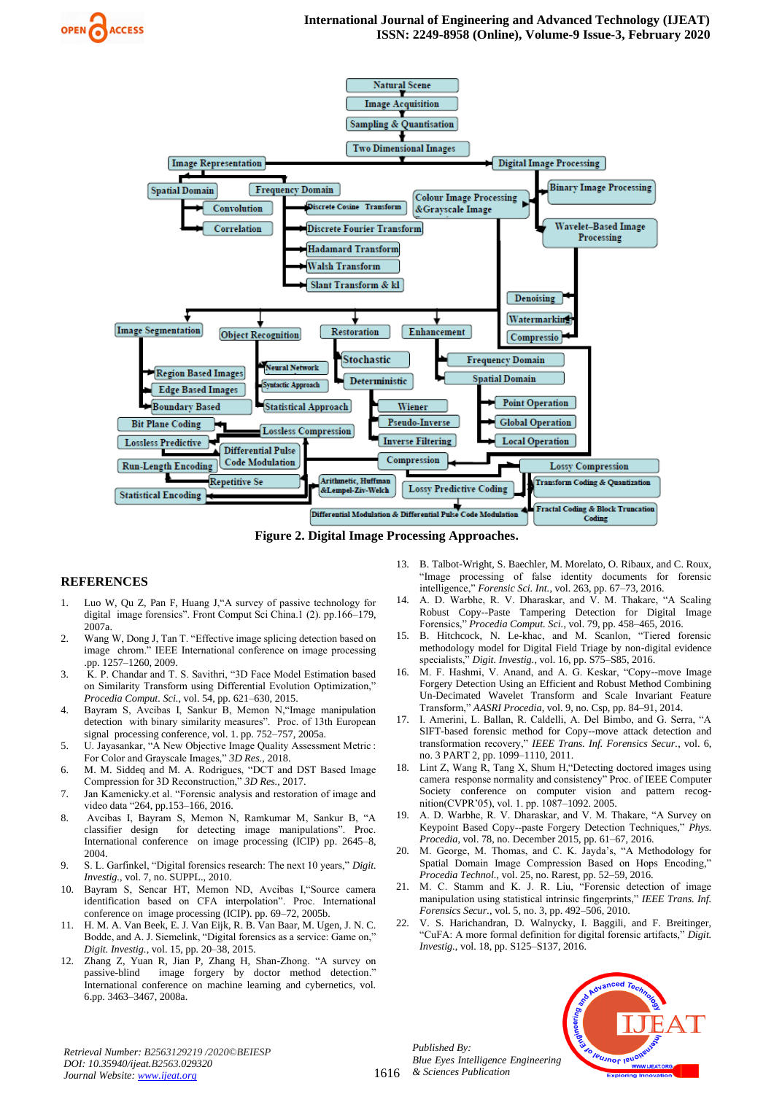



**Figure 2. Digital Image Processing Approaches.**

#### <span id="page-8-0"></span>**REFERENCES**

- 1. Luo W, Qu Z, Pan F, Huang J,"A survey of passive technology for digital image forensics". Front Comput Sci China.1 (2). pp.166–179, 2007a.
- 2. Wang W, Dong J, Tan T. "Effective image splicing detection based on image chrom." IEEE International conference on image processing .pp. 1257–1260, 2009.
- 3. K. P. Chandar and T. S. Savithri, "3D Face Model Estimation based on Similarity Transform using Differential Evolution Optimization," *Procedia Comput. Sci.*, vol. 54, pp. 621–630, 2015.
- 4. Bayram S, Avcibas I, Sankur B, Memon N,"Image manipulation detection with binary similarity measures". Proc. of 13th European signal processing conference, vol. 1. pp. 752–757, 2005a.
- 5. U. Jayasankar, "A New Objective Image Quality Assessment Metric : For Color and Grayscale Images," *3D Res.*, 2018.
- 6. M. M. Siddeq and M. A. Rodrigues, "DCT and DST Based Image Compression for 3D Reconstruction," *3D Res.*, 2017.
- 7. Jan Kamenicky.et al. "Forensic analysis and restoration of image and video data "264, pp.153–166, 2016.
- 8. Avcibas I, Bayram S, Memon N, Ramkumar M, Sankur B, "A classifier design for detecting image manipulations". Proc. International conference on image processing (ICIP) pp. 2645–8, 2004.
- 9. S. L. Garfinkel, "Digital forensics research: The next 10 years," *Digit. Investig.*, vol. 7, no. SUPPL., 2010.
- 10. Bayram S, Sencar HT, Memon ND, Avcibas I,"Source camera identification based on CFA interpolation". Proc. International conference on image processing (ICIP). pp. 69–72, 2005b.
- 11. H. M. A. Van Beek, E. J. Van Eijk, R. B. Van Baar, M. Ugen, J. N. C. Bodde, and A. J. Siemelink, "Digital forensics as a service: Game on," *Digit. Investig.*, vol. 15, pp. 20–38, 2015.
- 12. Zhang Z, Yuan R, Jian P, Zhang H, Shan-Zhong. "A survey on passive-blind image forgery by doctor method detection." International conference on machine learning and cybernetics, vol. 6.pp. 3463–3467, 2008a.
- 13. B. Talbot-Wright, S. Baechler, M. Morelato, O. Ribaux, and C. Roux, "Image processing of false identity documents for forensic intelligence," *Forensic Sci. Int.*, vol. 263, pp. 67–73, 2016.
- 14. A. D. Warbhe, R. V. Dharaskar, and V. M. Thakare, "A Scaling Robust Copy--Paste Tampering Detection for Digital Image Forensics," *Procedia Comput. Sci.*, vol. 79, pp. 458–465, 2016.
- 15. B. Hitchcock, N. Le-khac, and M. Scanlon, "Tiered forensic methodology model for Digital Field Triage by non-digital evidence specialists," *Digit. Investig.*, vol. 16, pp. S75–S85, 2016.
- 16. M. F. Hashmi, V. Anand, and A. G. Keskar, "Copy--move Image Forgery Detection Using an Efficient and Robust Method Combining Un-Decimated Wavelet Transform and Scale Invariant Feature Transform," *AASRI Procedia*, vol. 9, no. Csp, pp. 84–91, 2014.
- 17. I. Amerini, L. Ballan, R. Caldelli, A. Del Bimbo, and G. Serra, "A SIFT-based forensic method for Copy--move attack detection and transformation recovery," *IEEE Trans. Inf. Forensics Secur.*, vol. 6, no. 3 PART 2, pp. 1099–1110, 2011.
- 18. Lint Z, Wang R, Tang X, Shum H,"Detecting doctored images using camera response normality and consistency" Proc. of IEEE Computer Society conference on computer vision and pattern recognition(CVPR'05), vol. 1. pp. 1087–1092. 2005.
- 19. A. D. Warbhe, R. V. Dharaskar, and V. M. Thakare, "A Survey on Keypoint Based Copy--paste Forgery Detection Techniques," *Phys. Procedia*, vol. 78, no. December 2015, pp. 61–67, 2016.
- 20. M. George, M. Thomas, and C. K. Jayda's, "A Methodology for Spatial Domain Image Compression Based on Hops Encoding," *Procedia Technol.*, vol. 25, no. Rarest, pp. 52–59, 2016.
- 21. M. C. Stamm and K. J. R. Liu, "Forensic detection of image manipulation using statistical intrinsic fingerprints," *IEEE Trans. Inf. Forensics Secur.*, vol. 5, no. 3, pp. 492–506, 2010.
- 22. V. S. Harichandran, D. Walnycky, I. Baggili, and F. Breitinger, "CuFA: A more formal definition for digital forensic artifacts," *Digit. Investig.*, vol. 18, pp. S125–S137, 2016.



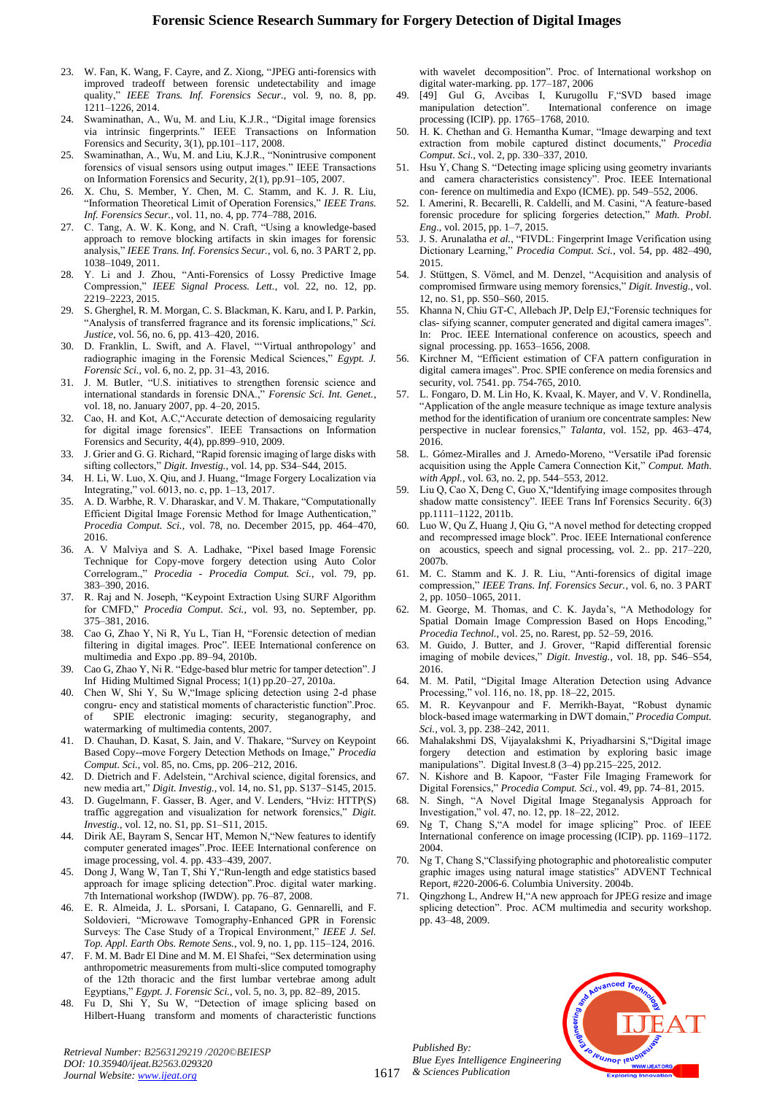- 23. W. Fan, K. Wang, F. Cayre, and Z. Xiong, "JPEG anti-forensics with improved tradeoff between forensic undetectability and image quality," *IEEE Trans. Inf. Forensics Secur.*, vol. 9, no. 8, pp. 1211–1226, 2014.
- 24. Swaminathan, A., Wu, M. and Liu, K.J.R., "Digital image forensics via intrinsic fingerprints." IEEE Transactions on Information Forensics and Security, 3(1), pp.101–117, 2008.
- Swaminathan, A., Wu, M. and Liu, K.J.R., "Nonintrusive component forensics of visual sensors using output images." IEEE Transactions on Information Forensics and Security, 2(1), pp.91–105, 2007.
- 26. X. Chu, S. Member, Y. Chen, M. C. Stamm, and K. J. R. Liu, "Information Theoretical Limit of Operation Forensics," *IEEE Trans. Inf. Forensics Secur.*, vol. 11, no. 4, pp. 774–788, 2016.
- 27. C. Tang, A. W. K. Kong, and N. Craft, "Using a knowledge-based approach to remove blocking artifacts in skin images for forensic analysis," *IEEE Trans. Inf. Forensics Secur.*, vol. 6, no. 3 PART 2, pp. 1038–1049, 2011.
- 28. Y. Li and J. Zhou, "Anti-Forensics of Lossy Predictive Image Compression," *IEEE Signal Process. Lett.*, vol. 22, no. 12, pp. 2219–2223, 2015.
- 29. S. Gherghel, R. M. Morgan, C. S. Blackman, K. Karu, and I. P. Parkin, "Analysis of transferred fragrance and its forensic implications," *Sci. Justice*, vol. 56, no. 6, pp. 413–420, 2016.
- 30. D. Franklin, L. Swift, and A. Flavel, "'Virtual anthropology' and radiographic imaging in the Forensic Medical Sciences," *Egypt. J. Forensic Sci.*, vol. 6, no. 2, pp. 31–43, 2016.
- 31. J. M. Butler, "U.S. initiatives to strengthen forensic science and international standards in forensic DNA.," *Forensic Sci. Int. Genet.*, vol. 18, no. January 2007, pp. 4–20, 2015.
- 32. Cao, H. and Kot, A.C,"Accurate detection of demosaicing regularity for digital image forensics". IEEE Transactions on Information Forensics and Security, 4(4), pp.899–910, 2009.
- 33. J. Grier and G. G. Richard, "Rapid forensic imaging of large disks with sifting collectors," *Digit. Investig.*, vol. 14, pp. S34–S44, 2015.
- 34. H. Li, W. Luo, X. Qiu, and J. Huang, "Image Forgery Localization via Integrating," vol. 6013, no. c, pp. 1–13, 2017.
- 35. A. D. Warbhe, R. V. Dharaskar, and V. M. Thakare, "Computationally Efficient Digital Image Forensic Method for Image Authentication, *Procedia Comput. Sci.*, vol. 78, no. December 2015, pp. 464–470, 2016.
- 36. A. V Malviya and S. A. Ladhake, "Pixel based Image Forensic Technique for Copy-move forgery detection using Auto Color Correlogram.," *Procedia - Procedia Comput. Sci.*, vol. 79, pp. 383–390, 2016.
- 37. R. Raj and N. Joseph, "Keypoint Extraction Using SURF Algorithm for CMFD," *Procedia Comput. Sci.*, vol. 93, no. September, pp. 375–381, 2016.
- 38. Cao G, Zhao Y, Ni R, Yu L, Tian H, "Forensic detection of median filtering in digital images. Proc". IEEE International conference on multimedia and Expo .pp. 89–94, 2010b.
- 39. Cao G, Zhao Y, Ni R. "Edge-based blur metric for tamper detection". J Inf Hiding Multimed Signal Process; 1(1) pp.20–27, 2010a.
- 40. Chen W, Shi Y, Su W,"Image splicing detection using 2-d phase congru- ency and statistical moments of characteristic function".Proc. of SPIE electronic imaging: security, steganography, and watermarking of multimedia contents, 2007.
- 41. D. Chauhan, D. Kasat, S. Jain, and V. Thakare, "Survey on Keypoint Based Copy--move Forgery Detection Methods on Image," *Procedia Comput. Sci.*, vol. 85, no. Cms, pp. 206–212, 2016.
- 42. D. Dietrich and F. Adelstein, "Archival science, digital forensics, and new media art," *Digit. Investig.*, vol. 14, no. S1, pp. S137–S145, 2015.
- 43. D. Gugelmann, F. Gasser, B. Ager, and V. Lenders, "Hviz: HTTP(S) traffic aggregation and visualization for network forensics," *Digit. Investig.*, vol. 12, no. S1, pp. S1–S11, 2015.
- 44. Dirik AE, Bayram S, Sencar HT, Memon N,"New features to identify computer generated images".Proc. IEEE International conference on image processing, vol. 4. pp. 433–439, 2007.
- 45. Dong J, Wang W, Tan T, Shi Y,"Run-length and edge statistics based approach for image splicing detection".Proc. digital water marking. 7th International workshop (IWDW). pp. 76–87, 2008.
- 46. E. R. Almeida, J. L. sPorsani, I. Catapano, G. Gennarelli, and F. Soldovieri, "Microwave Tomography-Enhanced GPR in Forensic Surveys: The Case Study of a Tropical Environment," *IEEE J. Sel. Top. Appl. Earth Obs. Remote Sens.*, vol. 9, no. 1, pp. 115–124, 2016.
- 47. F. M. M. Badr El Dine and M. M. El Shafei, "Sex determination using anthropometric measurements from multi-slice computed tomography of the 12th thoracic and the first lumbar vertebrae among adult Egyptians," *Egypt. J. Forensic Sci.*, vol. 5, no. 3, pp. 82–89, 2015.
- 48. Fu D, Shi Y, Su W, "Detection of image splicing based on Hilbert-Huang transform and moments of characteristic functions

with wavelet decomposition". Proc. of International workshop on digital water-marking. pp. 177–187, 2006

- 49. [49] Gul G, Avcibas I, Kurugollu F,"SVD based image manipulation detection". International conference on image processing (ICIP). pp. 1765–1768, 2010.
- 50. H. K. Chethan and G. Hemantha Kumar, "Image dewarping and text extraction from mobile captured distinct documents," *Procedia Comput. Sci.*, vol. 2, pp. 330–337, 2010.
- 51. Hsu Y, Chang S. "Detecting image splicing using geometry invariants and camera characteristics consistency". Proc. IEEE International con- ference on multimedia and Expo (ICME). pp. 549–552, 2006.
- 52. I. Amerini, R. Becarelli, R. Caldelli, and M. Casini, "A feature-based forensic procedure for splicing forgeries detection," *Math. Probl. Eng.*, vol. 2015, pp. 1–7, 2015.
- 53. J. S. Arunalatha *et al.*, "FIVDL: Fingerprint Image Verification using Dictionary Learning," *Procedia Comput. Sci.*, vol. 54, pp. 482–490, 2015.
- 54. J. Stüttgen, S. Vömel, and M. Denzel, "Acquisition and analysis of compromised firmware using memory forensics," *Digit. Investig.*, vol. 12, no. S1, pp. S50–S60, 2015.
- 55. Khanna N, Chiu GT-C, Allebach JP, Delp EJ,"Forensic techniques for clas- sifying scanner, computer generated and digital camera images". In: Proc. IEEE International conference on acoustics, speech and signal processing. pp. 1653–1656, 2008.
- 56. Kirchner M, "Efficient estimation of CFA pattern configuration in digital camera images". Proc. SPIE conference on media forensics and security, vol. 7541. pp. 754-765, 2010.
- 57. L. Fongaro, D. M. Lin Ho, K. Kvaal, K. Mayer, and V. V. Rondinella, "Application of the angle measure technique as image texture analysis method for the identification of uranium ore concentrate samples: New perspective in nuclear forensics," *Talanta*, vol. 152, pp. 463–474, 2016.
- 58. L. Gómez-Miralles and J. Arnedo-Moreno, "Versatile iPad forensic acquisition using the Apple Camera Connection Kit," *Comput. Math. with Appl.*, vol. 63, no. 2, pp. 544–553, 2012.
- 59. Liu Q, Cao X, Deng C, Guo X,"Identifying image composites through shadow matte consistency". IEEE Trans Inf Forensics Security. 6(3) pp.1111–1122, 2011b.
- 60. Luo W, Qu Z, Huang J, Qiu G, "A novel method for detecting cropped and recompressed image block". Proc. IEEE International conference on acoustics, speech and signal processing, vol. 2.. pp. 217–220, 2007b.
- 61. M. C. Stamm and K. J. R. Liu, "Anti-forensics of digital image compression," *IEEE Trans. Inf. Forensics Secur.*, vol. 6, no. 3 PART 2, pp. 1050–1065, 2011.
- 62. M. George, M. Thomas, and C. K. Jayda's, "A Methodology for Spatial Domain Image Compression Based on Hops Encoding," *Procedia Technol.*, vol. 25, no. Rarest, pp. 52–59, 2016.
- 63. M. Guido, J. Butter, and J. Grover, "Rapid differential forensic imaging of mobile devices," *Digit. Investig.*, vol. 18, pp. S46–S54, 2016.
- 64. M. M. Patil, "Digital Image Alteration Detection using Advance Processing," vol. 116, no. 18, pp. 18–22, 2015.
- 65. M. R. Keyvanpour and F. Merrikh-Bayat, "Robust dynamic block-based image watermarking in DWT domain," *Procedia Comput. Sci.*, vol. 3, pp. 238–242, 2011.
- 66. Mahalakshmi DS, Vijayalakshmi K, Priyadharsini S,"Digital image forgery detection and estimation by exploring basic image manipulations". Digital Invest.8 (3–4) pp.215–225, 2012.
- 67. N. Kishore and B. Kapoor, "Faster File Imaging Framework for Digital Forensics," *Procedia Comput. Sci.*, vol. 49, pp. 74–81, 2015.
- 68. N. Singh, "A Novel Digital Image Steganalysis Approach for Investigation," vol. 47, no. 12, pp. 18–22, 2012.
- 69. Ng T, Chang S,"A model for image splicing" Proc. of IEEE International conference on image processing (ICIP). pp. 1169–1172. 2004.
- 70. Ng T, Chang S,"Classifying photographic and photorealistic computer graphic images using natural image statistics" ADVENT Technical Report, #220-2006-6. Columbia University. 2004b.
- Qingzhong L, Andrew H, "A new approach for JPEG resize and image splicing detection". Proc. ACM multimedia and security workshop. pp. 43–48, 2009.



*Retrieval Number: B2563129219 /2020©BEIESP DOI: 10.35940/ijeat.B2563.029320 Journal Website: www.ijeat.org*

*Published By:*